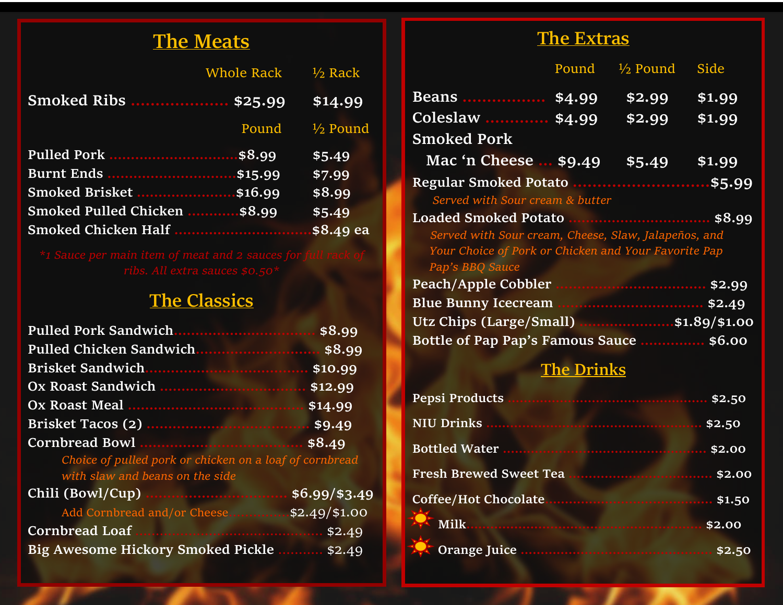# **The Meats**

|                              | Whole Rack $\frac{1}{2}$ Rack |                           |
|------------------------------|-------------------------------|---------------------------|
|                              |                               | \$14.99                   |
|                              |                               | Pound $\frac{1}{2}$ Pound |
|                              |                               | \$5.49                    |
| Burnt Ends \$15.99           |                               | \$7.99                    |
| Smoked Brisket  \$16.99      |                               | \$8.99                    |
| Smoked Pulled Chicken \$8.99 |                               | \$5.49                    |
|                              |                               |                           |

# **The Classics**

|                                                         | \$8.99          |
|---------------------------------------------------------|-----------------|
| Pulled Chicken Sandwich                                 | \$8.99          |
|                                                         | \$10.99         |
|                                                         | \$12.99         |
|                                                         | \$14.99         |
|                                                         | \$9.49          |
|                                                         | \$8.49          |
| Choice of pulled pork or chicken on a loaf of cornbread |                 |
| with slaw and beans on the side                         |                 |
|                                                         | $$6.99$ /\$3.49 |
| Add Cornbread and/or Cheese                             | $$2.49$ (\$1.00 |
| <b>Cornbread Loaf</b>                                   |                 |
| Big Awesome Hickory Smoked Pickle  \$2.49               |                 |

## **The Extras**

|                                                      | Pound  | $\frac{1}{2}$ Pound | Side   |
|------------------------------------------------------|--------|---------------------|--------|
| <b>Beans</b>                                         | \$4.99 | \$2.99              | \$1.99 |
| Coleslaw  \$4.99                                     |        | \$2.99              | \$1.99 |
| <b>Smoked Pork</b>                                   |        |                     |        |
| Mac 'n Cheese  \$9.49                                |        | \$5.49              | \$1.99 |
| <b>Regular Smoked Potato</b>                         |        |                     |        |
| Served with Sour cream & butter                      |        |                     |        |
| <b>Loaded Smoked Potato</b>                          |        |                     |        |
| Served with Sour cream, Cheese, Slaw, Jalapeños, and |        |                     |        |
| Your Choice of Pork or Chicken and Your Favorite Pap |        |                     |        |
| Pap's BBQ Sauce                                      |        |                     |        |
| Peach/Apple Cobbler                                  |        |                     |        |
| <b>Blue Bunny Icecream</b>                           |        |                     |        |
| Utz Chips (Large/Small) \$1.89/\$1.00                |        |                     |        |
| Bottle of Pap Pap's Famous Sauce  \$6.00             |        |                     |        |

# **The Drinks**

| <b>Pepsi Products</b> |        |
|-----------------------|--------|
|                       |        |
|                       |        |
|                       |        |
|                       |        |
| Milk.                 | \$2.00 |
|                       |        |